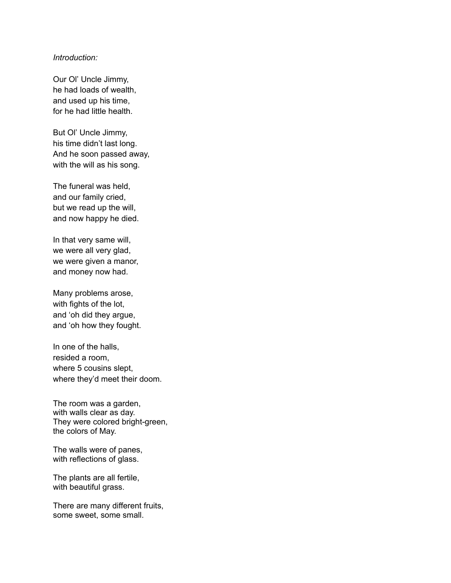## *Introduction:*

Our Ol' Uncle Jimmy, he had loads of wealth, and used up his time, for he had little health.

But Ol' Uncle Jimmy, his time didn't last long. And he soon passed away, with the will as his song.

The funeral was held, and our family cried, but we read up the will, and now happy he died.

In that very same will, we were all very glad, we were given a manor, and money now had.

Many problems arose, with fights of the lot, and 'oh did they argue, and 'oh how they fought.

In one of the halls, resided a room, where 5 cousins slept, where they'd meet their doom.

The room was a garden, with walls clear as day. They were colored bright-green, the colors of May.

The walls were of panes, with reflections of glass.

The plants are all fertile, with beautiful grass.

There are many different fruits, some sweet, some small.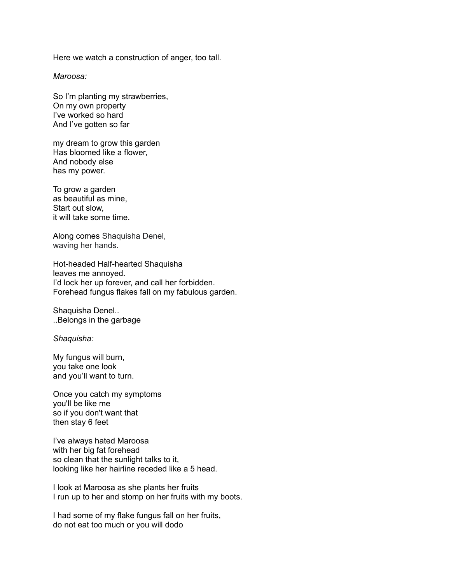Here we watch a construction of anger, too tall.

*Maroosa:*

So I'm planting my strawberries, On my own property I've worked so hard And I've gotten so far

my dream to grow this garden Has bloomed like a flower, And nobody else has my power.

To grow a garden as beautiful as mine, Start out slow, it will take some time.

Along comes Shaquisha Denel, waving her hands.

Hot-headed Half-hearted Shaquisha leaves me annoyed. I'd lock her up forever, and call her forbidden. Forehead fungus flakes fall on my fabulous garden.

Shaquisha Denel.. ..Belongs in the garbage

*Shaquisha:*

My fungus will burn, you take one look and you'll want to turn.

Once you catch my symptoms you'll be like me so if you don't want that then stay 6 feet

I've always hated Maroosa with her big fat forehead so clean that the sunlight talks to it, looking like her hairline receded like a 5 head.

I look at Maroosa as she plants her fruits I run up to her and stomp on her fruits with my boots.

I had some of my flake fungus fall on her fruits, do not eat too much or you will dodo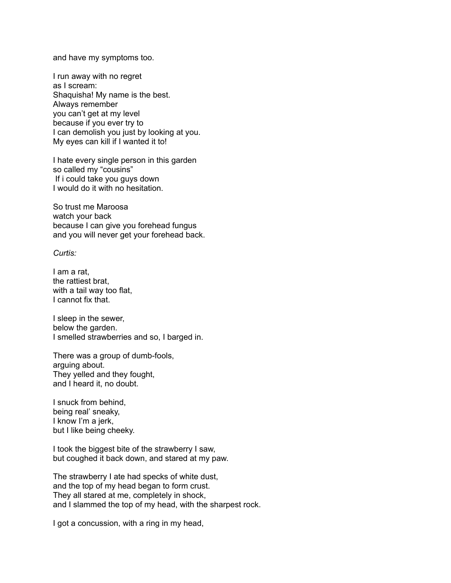and have my symptoms too.

I run away with no regret as I scream: Shaquisha! My name is the best. Always remember you can't get at my level because if you ever try to I can demolish you just by looking at you. My eyes can kill if I wanted it to!

I hate every single person in this garden so called my "cousins" If i could take you guys down I would do it with no hesitation.

So trust me Maroosa watch your back because I can give you forehead fungus and you will never get your forehead back.

## *Curtis:*

I am a rat, the rattiest brat, with a tail way too flat, I cannot fix that.

I sleep in the sewer, below the garden. I smelled strawberries and so, I barged in.

There was a group of dumb-fools, arguing about. They yelled and they fought, and I heard it, no doubt.

I snuck from behind, being real' sneaky, I know I'm a jerk, but I like being cheeky.

I took the biggest bite of the strawberry I saw, but coughed it back down, and stared at my paw.

The strawberry I ate had specks of white dust, and the top of my head began to form crust. They all stared at me, completely in shock, and I slammed the top of my head, with the sharpest rock.

I got a concussion, with a ring in my head,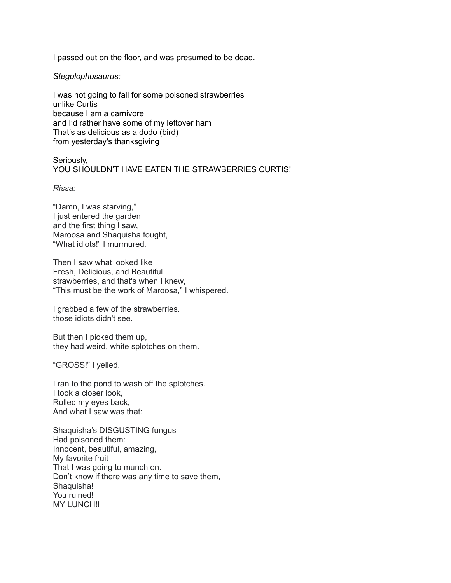I passed out on the floor, and was presumed to be dead.

*Stegolophosaurus:*

I was not going to fall for some poisoned strawberries unlike Curtis because I am a carnivore and I'd rather have some of my leftover ham That's as delicious as a dodo (bird) from yesterday's thanksgiving

Seriously, YOU SHOULDN'T HAVE EATEN THE STRAWBERRIES CURTIS!

*Rissa:*

"Damn, I was starving," I just entered the garden and the first thing I saw, Maroosa and Shaquisha fought, "What idiots!" I murmured*.*

Then I saw what looked like Fresh, Delicious, and Beautiful strawberries, and that's when I knew, "This must be the work of Maroosa," I whispered.

I grabbed a few of the strawberries. those idiots didn't see.

But then I picked them up, they had weird, white splotches on them.

"GROSS!" I yelled.

I ran to the pond to wash off the splotches. I took a closer look, Rolled my eyes back, And what I saw was that:

Shaquisha's DISGUSTING fungus Had poisoned them: Innocent, beautiful, amazing, My favorite fruit That I was going to munch on. Don't know if there was any time to save them, Shaquisha! You ruined! **MY LUNCH!!**